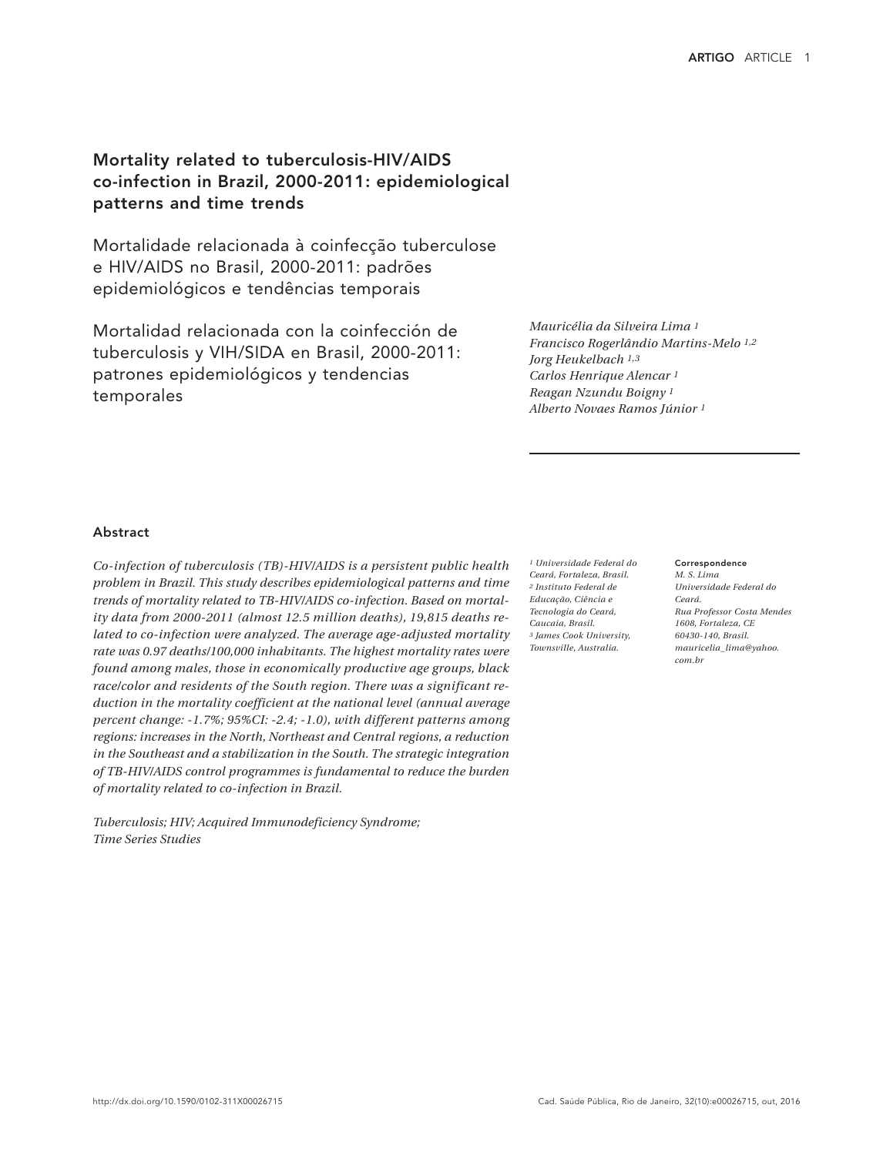# Mortality related to tuberculosis-HIV/AIDS co-infection in Brazil, 2000-2011: epidemiological patterns and time trends

Mortalidade relacionada à coinfecção tuberculose e HIV/AIDS no Brasil, 2000-2011: padrões epidemiológicos e tendências temporais

Mortalidad relacionada con la coinfección de tuberculosis y VIH/SIDA en Brasil, 2000-2011: patrones epidemiológicos y tendencias temporales

*Mauricélia da Silveira Lima 1 Francisco Rogerlândio Martins-Melo 1,2 Jorg Heukelbach 1,3 Carlos Henrique Alencar 1 Reagan Nzundu Boigny 1 Alberto Novaes Ramos Júnior 1*

## Abstract

*Co-infection of tuberculosis (TB)-HIV/AIDS is a persistent public health problem in Brazil. This study describes epidemiological patterns and time trends of mortality related to TB-HIV/AIDS co-infection. Based on mortality data from 2000-2011 (almost 12.5 million deaths), 19,815 deaths related to co-infection were analyzed. The average age-adjusted mortality rate was 0.97 deaths/100,000 inhabitants. The highest mortality rates were found among males, those in economically productive age groups, black race/color and residents of the South region. There was a significant reduction in the mortality coefficient at the national level (annual average percent change: -1.7%; 95%CI: -2.4; -1.0), with different patterns among regions: increases in the North, Northeast and Central regions, a reduction in the Southeast and a stabilization in the South. The strategic integration of TB-HIV/AIDS control programmes is fundamental to reduce the burden of mortality related to co-infection in Brazil.*

*Tuberculosis; HIV; Acquired Immunodeficiency Syndrome; Time Series Studies*

*1 Universidade Federal do Ceará, Fortaleza, Brasil. 2 Instituto Federal de Educação, Ciência e Tecnologia do Ceará, Caucaia, Brasil. 3 James Cook University, Townsville, Australia.*

**Correspondence** *M. S. Lima Universidade Federal do Ceará. Rua Professor Costa Mendes 1608, Fortaleza, CE 60430-140, Brasil. mauricelia\_lima@yahoo. com.br*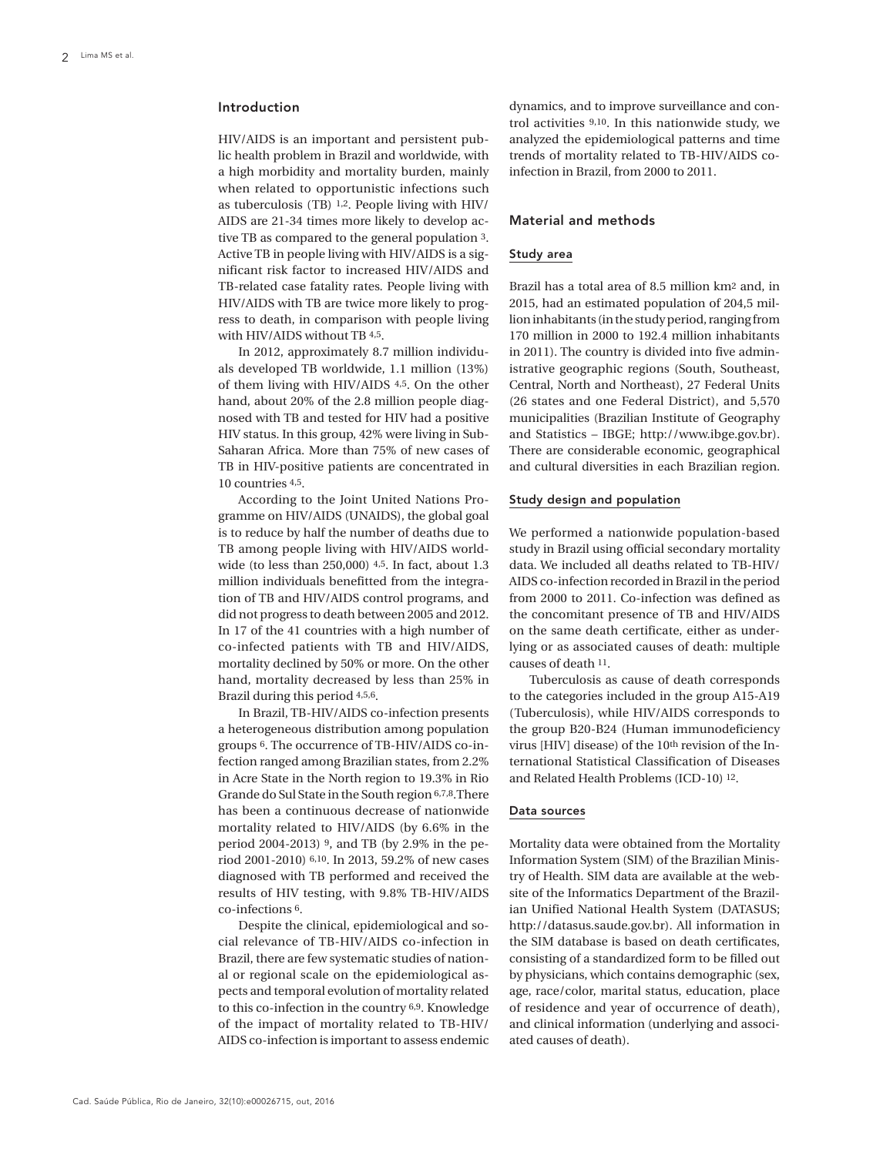## Introduction

HIV/AIDS is an important and persistent public health problem in Brazil and worldwide, with a high morbidity and mortality burden, mainly when related to opportunistic infections such as tuberculosis (TB) 1,2. People living with HIV/ AIDS are 21-34 times more likely to develop active TB as compared to the general population 3. Active TB in people living with HIV/AIDS is a significant risk factor to increased HIV/AIDS and TB-related case fatality rates. People living with HIV/AIDS with TB are twice more likely to progress to death, in comparison with people living with HIV/AIDS without TB 4,5.

In 2012, approximately 8.7 million individuals developed TB worldwide, 1.1 million (13%) of them living with HIV/AIDS 4,5. On the other hand, about 20% of the 2.8 million people diagnosed with TB and tested for HIV had a positive HIV status. In this group, 42% were living in Sub-Saharan Africa. More than 75% of new cases of TB in HIV-positive patients are concentrated in 10 countries 4,5.

According to the Joint United Nations Programme on HIV/AIDS (UNAIDS), the global goal is to reduce by half the number of deaths due to TB among people living with HIV/AIDS worldwide (to less than 250,000) 4,5. In fact, about 1.3 million individuals benefitted from the integration of TB and HIV/AIDS control programs, and did not progress to death between 2005 and 2012. In 17 of the 41 countries with a high number of co-infected patients with TB and HIV/AIDS, mortality declined by 50% or more. On the other hand, mortality decreased by less than 25% in Brazil during this period 4,5,6.

In Brazil, TB-HIV/AIDS co-infection presents a heterogeneous distribution among population groups 6. The occurrence of TB-HIV/AIDS co-infection ranged among Brazilian states, from 2.2% in Acre State in the North region to 19.3% in Rio Grande do Sul State in the South region 6,7,8.There has been a continuous decrease of nationwide mortality related to HIV/AIDS (by 6.6% in the period 2004-2013) 9, and TB (by 2.9% in the period 2001-2010) 6,10. In 2013, 59.2% of new cases diagnosed with TB performed and received the results of HIV testing, with 9.8% TB-HIV/AIDS co-infections 6.

Despite the clinical, epidemiological and social relevance of TB-HIV/AIDS co-infection in Brazil, there are few systematic studies of national or regional scale on the epidemiological aspects and temporal evolution of mortality related to this co-infection in the country 6,9. Knowledge of the impact of mortality related to TB-HIV/ AIDS co-infection is important to assess endemic

dynamics, and to improve surveillance and control activities 9,10. In this nationwide study, we analyzed the epidemiological patterns and time trends of mortality related to TB-HIV/AIDS coinfection in Brazil, from 2000 to 2011.

## Material and methods

## Study area

Brazil has a total area of 8.5 million km2 and, in 2015, had an estimated population of 204,5 million inhabitants (in the study period, ranging from 170 million in 2000 to 192.4 million inhabitants in 2011). The country is divided into five administrative geographic regions (South, Southeast, Central, North and Northeast), 27 Federal Units (26 states and one Federal District), and 5,570 municipalities (Brazilian Institute of Geography and Statistics – IBGE; http://www.ibge.gov.br). There are considerable economic, geographical and cultural diversities in each Brazilian region.

#### Study design and population

We performed a nationwide population-based study in Brazil using official secondary mortality data. We included all deaths related to TB-HIV/ AIDS co-infection recorded in Brazil in the period from 2000 to 2011. Co-infection was defined as the concomitant presence of TB and HIV/AIDS on the same death certificate, either as underlying or as associated causes of death: multiple causes of death 11.

Tuberculosis as cause of death corresponds to the categories included in the group A15-A19 (Tuberculosis), while HIV/AIDS corresponds to the group B20-B24 (Human immunodeficiency virus [HIV] disease) of the 10th revision of the International Statistical Classification of Diseases and Related Health Problems (ICD-10) 12.

## Data sources

Mortality data were obtained from the Mortality Information System (SIM) of the Brazilian Ministry of Health. SIM data are available at the website of the Informatics Department of the Brazilian Unified National Health System (DATASUS; http://datasus.saude.gov.br). All information in the SIM database is based on death certificates, consisting of a standardized form to be filled out by physicians, which contains demographic (sex, age, race/color, marital status, education, place of residence and year of occurrence of death), and clinical information (underlying and associated causes of death).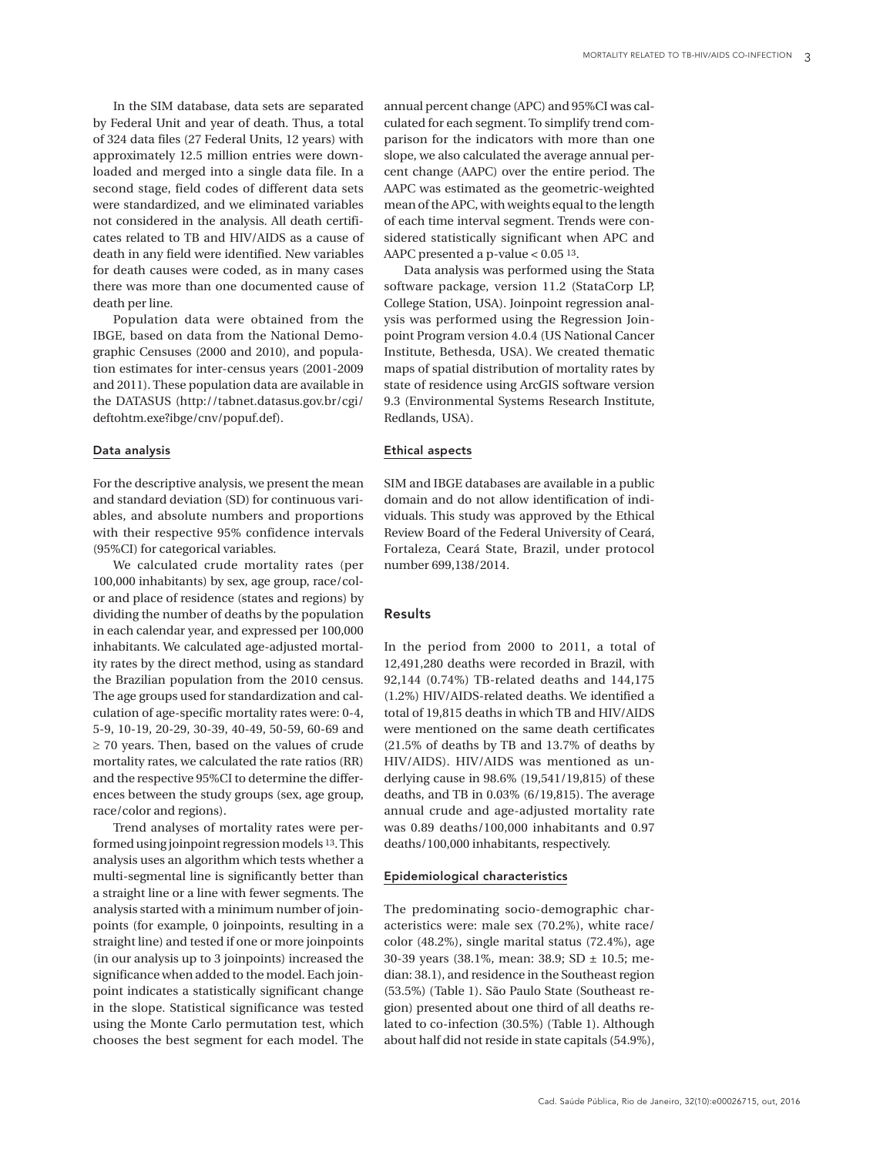In the SIM database, data sets are separated by Federal Unit and year of death. Thus, a total of 324 data files (27 Federal Units, 12 years) with approximately 12.5 million entries were downloaded and merged into a single data file. In a second stage, field codes of different data sets were standardized, and we eliminated variables not considered in the analysis. All death certificates related to TB and HIV/AIDS as a cause of death in any field were identified. New variables for death causes were coded, as in many cases there was more than one documented cause of death per line.

Population data were obtained from the IBGE, based on data from the National Demographic Censuses (2000 and 2010), and population estimates for inter-census years (2001-2009 and 2011). These population data are available in the DATASUS (http://tabnet.datasus.gov.br/cgi/ deftohtm.exe?ibge/cnv/popuf.def).

### Data analysis

For the descriptive analysis, we present the mean and standard deviation (SD) for continuous variables, and absolute numbers and proportions with their respective 95% confidence intervals (95%CI) for categorical variables.

We calculated crude mortality rates (per 100,000 inhabitants) by sex, age group, race/color and place of residence (states and regions) by dividing the number of deaths by the population in each calendar year, and expressed per 100,000 inhabitants. We calculated age-adjusted mortality rates by the direct method, using as standard the Brazilian population from the 2010 census. The age groups used for standardization and calculation of age-specific mortality rates were: 0-4, 5-9, 10-19, 20-29, 30-39, 40-49, 50-59, 60-69 and ≥ 70 years. Then, based on the values of crude mortality rates, we calculated the rate ratios (RR) and the respective 95%CI to determine the differences between the study groups (sex, age group, race/color and regions).

Trend analyses of mortality rates were performed using joinpoint regression models 13. This analysis uses an algorithm which tests whether a multi-segmental line is significantly better than a straight line or a line with fewer segments. The analysis started with a minimum number of joinpoints (for example, 0 joinpoints, resulting in a straight line) and tested if one or more joinpoints (in our analysis up to 3 joinpoints) increased the significance when added to the model. Each joinpoint indicates a statistically significant change in the slope. Statistical significance was tested using the Monte Carlo permutation test, which chooses the best segment for each model. The

annual percent change (APC) and 95%CI was calculated for each segment. To simplify trend comparison for the indicators with more than one slope, we also calculated the average annual percent change (AAPC) over the entire period. The AAPC was estimated as the geometric-weighted mean of the APC, with weights equal to the length of each time interval segment. Trends were considered statistically significant when APC and AAPC presented a p-value < 0.05 13.

Data analysis was performed using the Stata software package, version 11.2 (StataCorp LP, College Station, USA). Joinpoint regression analysis was performed using the Regression Joinpoint Program version 4.0.4 (US National Cancer Institute, Bethesda, USA). We created thematic maps of spatial distribution of mortality rates by state of residence using ArcGIS software version 9.3 (Environmental Systems Research Institute, Redlands, USA).

## Ethical aspects

SIM and IBGE databases are available in a public domain and do not allow identification of individuals. This study was approved by the Ethical Review Board of the Federal University of Ceará, Fortaleza, Ceará State, Brazil, under protocol number 699,138/2014.

## Results

In the period from 2000 to 2011, a total of 12,491,280 deaths were recorded in Brazil, with 92,144 (0.74%) TB-related deaths and 144,175 (1.2%) HIV/AIDS-related deaths. We identified a total of 19,815 deaths in which TB and HIV/AIDS were mentioned on the same death certificates (21.5% of deaths by TB and 13.7% of deaths by HIV/AIDS). HIV/AIDS was mentioned as underlying cause in 98.6% (19,541/19,815) of these deaths, and TB in 0.03% (6/19,815). The average annual crude and age-adjusted mortality rate was 0.89 deaths/100,000 inhabitants and 0.97 deaths/100,000 inhabitants, respectively.

#### Epidemiological characteristics

The predominating socio-demographic characteristics were: male sex (70.2%), white race/ color (48.2%), single marital status (72.4%), age 30-39 years (38.1%, mean: 38.9; SD ± 10.5; median: 38.1), and residence in the Southeast region (53.5%) (Table 1). São Paulo State (Southeast region) presented about one third of all deaths related to co-infection (30.5%) (Table 1). Although about half did not reside in state capitals (54.9%),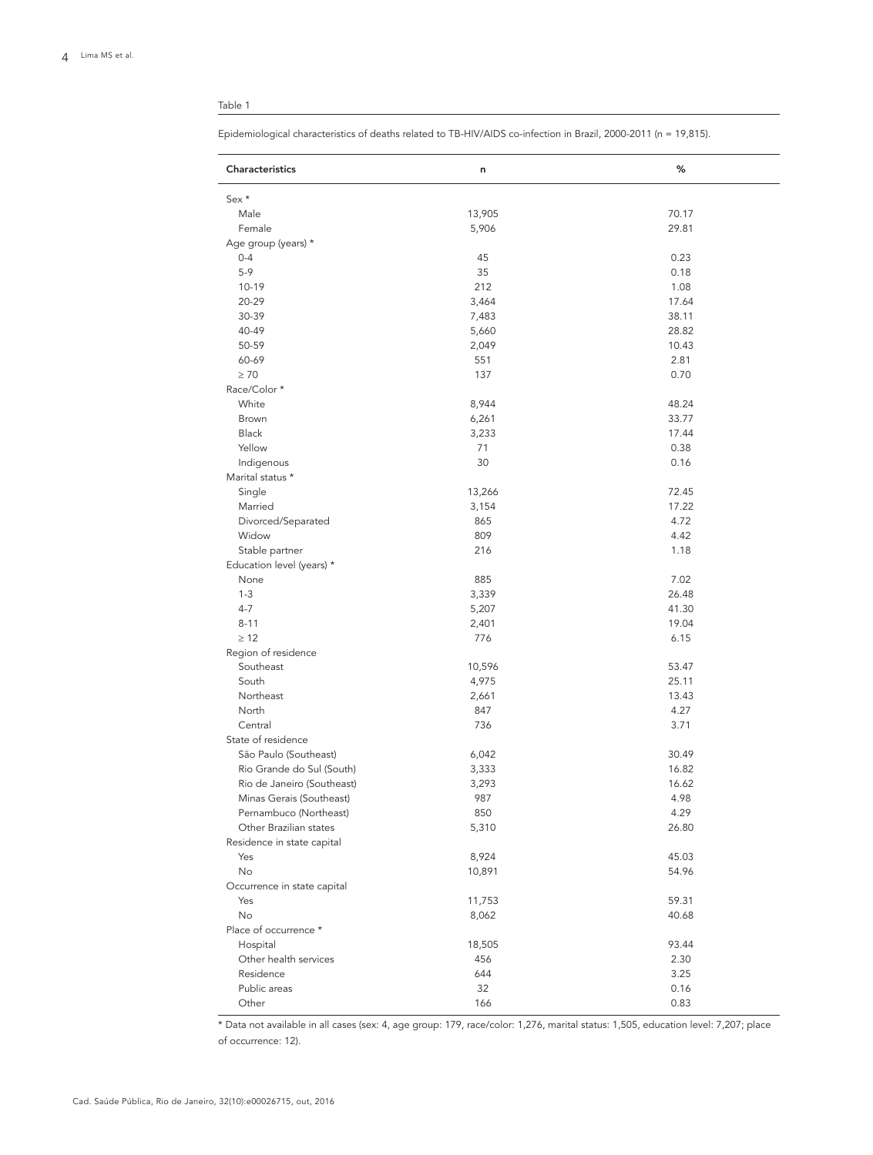## Table 1

Epidemiological characteristics of deaths related to TB-HIV/AIDS co-infection in Brazil, 2000-2011 (n = 19,815).

| Characteristics             | n      | %     |
|-----------------------------|--------|-------|
| Sex *                       |        |       |
| Male                        | 13,905 | 70.17 |
| Female                      | 5,906  | 29.81 |
| Age group (years) *         |        |       |
| $0 - 4$                     | 45     | 0.23  |
| $5-9$                       | 35     | 0.18  |
| 10-19                       | 212    | 1.08  |
| 20-29                       | 3,464  | 17.64 |
| 30-39                       | 7,483  | 38.11 |
| 40-49                       | 5,660  | 28.82 |
| 50-59                       | 2,049  | 10.43 |
| 60-69                       | 551    | 2.81  |
| $\geq 70$                   | 137    | 0.70  |
| Race/Color *                |        |       |
| White                       | 8,944  | 48.24 |
| Brown                       | 6,261  | 33.77 |
| Black                       | 3,233  | 17.44 |
| Yellow                      | 71     | 0.38  |
| Indigenous                  | 30     | 0.16  |
| Marital status *            |        |       |
| Single                      | 13,266 | 72.45 |
| Married                     | 3,154  | 17.22 |
| Divorced/Separated          | 865    | 4.72  |
| Widow                       | 809    | 4.42  |
| Stable partner              | 216    | 1.18  |
| Education level (years) *   |        |       |
| None                        | 885    | 7.02  |
| $1 - 3$                     | 3,339  | 26.48 |
| $4 - 7$                     | 5,207  | 41.30 |
| $8 - 11$                    | 2,401  | 19.04 |
| $\geq 12$                   | 776    | 6.15  |
| Region of residence         |        |       |
| Southeast                   | 10,596 | 53.47 |
| South                       | 4,975  | 25.11 |
| Northeast                   | 2,661  | 13.43 |
| North                       | 847    | 4.27  |
| Central                     | 736    | 3.71  |
| State of residence          |        |       |
| São Paulo (Southeast)       | 6,042  | 30.49 |
| Rio Grande do Sul (South)   | 3,333  | 16.82 |
| Rio de Janeiro (Southeast)  | 3,293  | 16.62 |
| Minas Gerais (Southeast)    | 987    | 4.98  |
| Pernambuco (Northeast)      | 850    | 4.29  |
| Other Brazilian states      | 5,310  | 26.80 |
| Residence in state capital  |        |       |
| Yes                         | 8,924  | 45.03 |
| No                          | 10,891 | 54.96 |
| Occurrence in state capital |        |       |
| Yes                         | 11,753 | 59.31 |
| No                          | 8,062  | 40.68 |
| Place of occurrence *       |        |       |
| Hospital                    | 18,505 | 93.44 |
| Other health services       | 456    | 2.30  |
| Residence                   | 644    | 3.25  |
| Public areas                | 32     | 0.16  |
|                             |        |       |
| Other                       | 166    | 0.83  |

\* Data not available in all cases (sex: 4, age group: 179, race/color: 1,276, marital status: 1,505, education level: 7,207; place of occurrence: 12).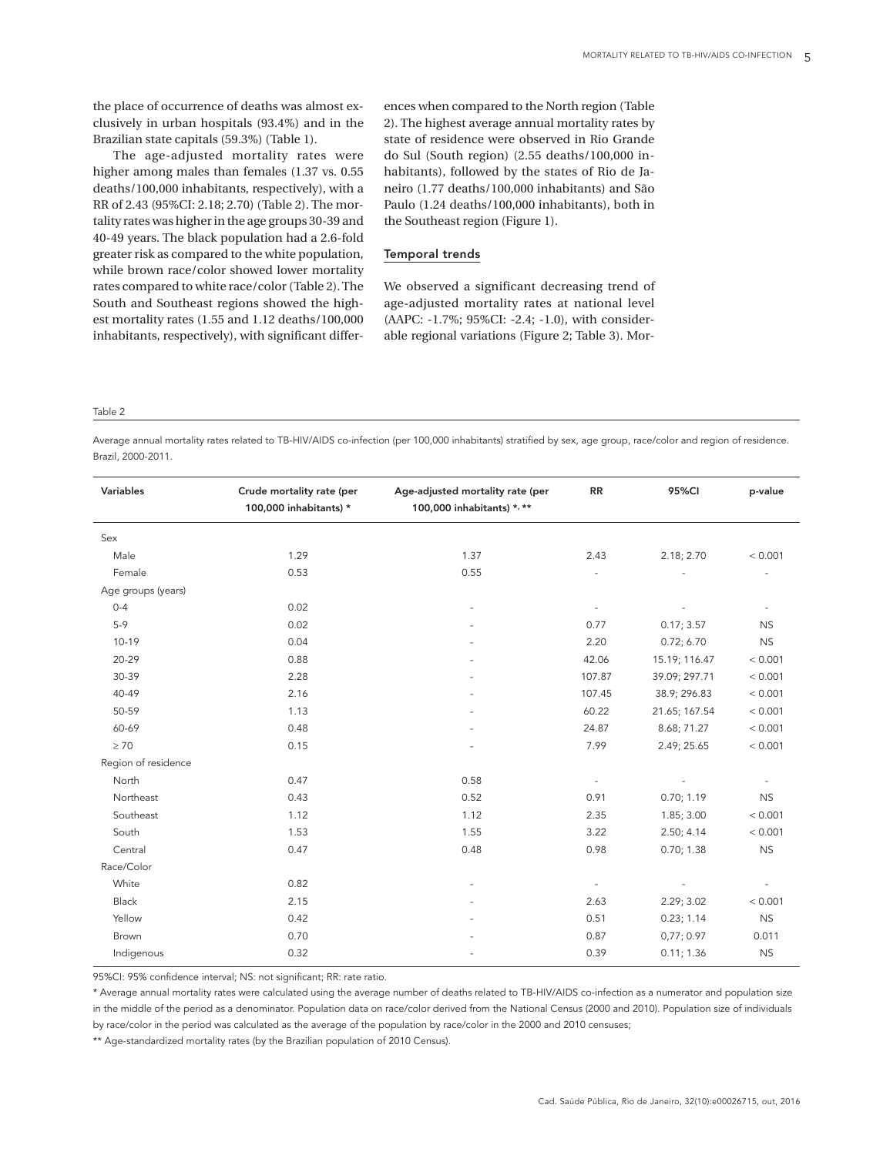the place of occurrence of deaths was almost exclusively in urban hospitals (93.4%) and in the Brazilian state capitals (59.3%) (Table 1).

The age-adjusted mortality rates were higher among males than females (1.37 vs. 0.55 deaths/100,000 inhabitants, respectively), with a RR of 2.43 (95%CI: 2.18; 2.70) (Table 2). The mortality rates was higher in the age groups 30-39 and 40-49 years. The black population had a 2.6-fold greater risk as compared to the white population, while brown race/color showed lower mortality rates compared to white race/color (Table 2). The South and Southeast regions showed the highest mortality rates (1.55 and 1.12 deaths/100,000 inhabitants, respectively), with significant differences when compared to the North region (Table 2). The highest average annual mortality rates by state of residence were observed in Rio Grande do Sul (South region) (2.55 deaths/100,000 inhabitants), followed by the states of Rio de Janeiro (1.77 deaths/100,000 inhabitants) and São Paulo (1.24 deaths/100,000 inhabitants), both in the Southeast region (Figure 1).

#### Temporal trends

We observed a significant decreasing trend of age-adjusted mortality rates at national level (AAPC: -1.7%; 95%CI: -2.4; -1.0), with considerable regional variations (Figure 2; Table 3). Mor-

Table 2

Average annual mortality rates related to TB-HIV/AIDS co-infection (per 100,000 inhabitants) stratified by sex, age group, race/color and region of residence. Brazil, 2000-2011.

| Variables           | Crude mortality rate (per<br>100,000 inhabitants) * | Age-adjusted mortality rate (per<br>100,000 inhabitants) *, ** | RR                       | 95%CI         | p-value   |  |
|---------------------|-----------------------------------------------------|----------------------------------------------------------------|--------------------------|---------------|-----------|--|
| Sex                 |                                                     |                                                                |                          |               |           |  |
| Male                | 1.29                                                | 1.37                                                           | 2.43                     | 2.18; 2.70    | < 0.001   |  |
| Female              | 0.53                                                | 0.55                                                           |                          |               |           |  |
| Age groups (years)  |                                                     |                                                                |                          |               |           |  |
| $0 - 4$             | 0.02                                                |                                                                | $\overline{\phantom{a}}$ |               |           |  |
| $5-9$               | 0.02                                                |                                                                | 0.77                     | 0.17; 3.57    | <b>NS</b> |  |
| 10-19               | 0.04                                                |                                                                | 2.20                     | 0.72; 6.70    | <b>NS</b> |  |
| 20-29               | 0.88                                                |                                                                | 42.06                    | 15.19; 116.47 | < 0.001   |  |
| 30-39               | 2.28                                                |                                                                | 107.87                   | 39.09; 297.71 | < 0.001   |  |
| 40-49               | 2.16                                                |                                                                | 107.45                   | 38.9; 296.83  | < 0.001   |  |
| 50-59               | 1.13                                                |                                                                | 60.22                    | 21.65; 167.54 | < 0.001   |  |
| 60-69               | 0.48                                                |                                                                | 24.87                    | 8.68; 71.27   | < 0.001   |  |
| $\geq 70$           | 0.15                                                |                                                                | 7.99                     | 2.49; 25.65   | < 0.001   |  |
| Region of residence |                                                     |                                                                |                          |               |           |  |
| North               | 0.47                                                | 0.58                                                           | $\overline{\phantom{a}}$ |               |           |  |
| Northeast           | 0.43                                                | 0.52                                                           | 0.91                     | 0.70; 1.19    | <b>NS</b> |  |
| Southeast           | 1.12                                                | 1.12                                                           | 2.35                     | 1.85; 3.00    | < 0.001   |  |
| South               | 1.53                                                | 1.55                                                           | 3.22                     | 2.50; 4.14    | < 0.001   |  |
| Central             | 0.47                                                | 0.48                                                           | 0.98                     | 0.70; 1.38    | <b>NS</b> |  |
| Race/Color          |                                                     |                                                                |                          |               |           |  |
| White               | 0.82                                                |                                                                | $\sim$                   |               |           |  |
| Black               | 2.15                                                |                                                                | 2.63                     | 2.29; 3.02    | < 0.001   |  |
| Yellow              | 0.42                                                |                                                                | 0.51                     | 0.23; 1.14    | <b>NS</b> |  |
| Brown               | 0.70                                                |                                                                | 0.87                     | 0,77;0.97     | 0.011     |  |
| Indigenous          | 0.32                                                |                                                                | 0.39                     | 0.11; 1.36    | NS        |  |

95%CI: 95% confidence interval; NS: not significant; RR: rate ratio.

\* Average annual mortality rates were calculated using the average number of deaths related to TB-HIV/AIDS co-infection as a numerator and population size in the middle of the period as a denominator. Population data on race/color derived from the National Census (2000 and 2010). Population size of individuals by race/color in the period was calculated as the average of the population by race/color in the 2000 and 2010 censuses;

\*\* Age-standardized mortality rates (by the Brazilian population of 2010 Census).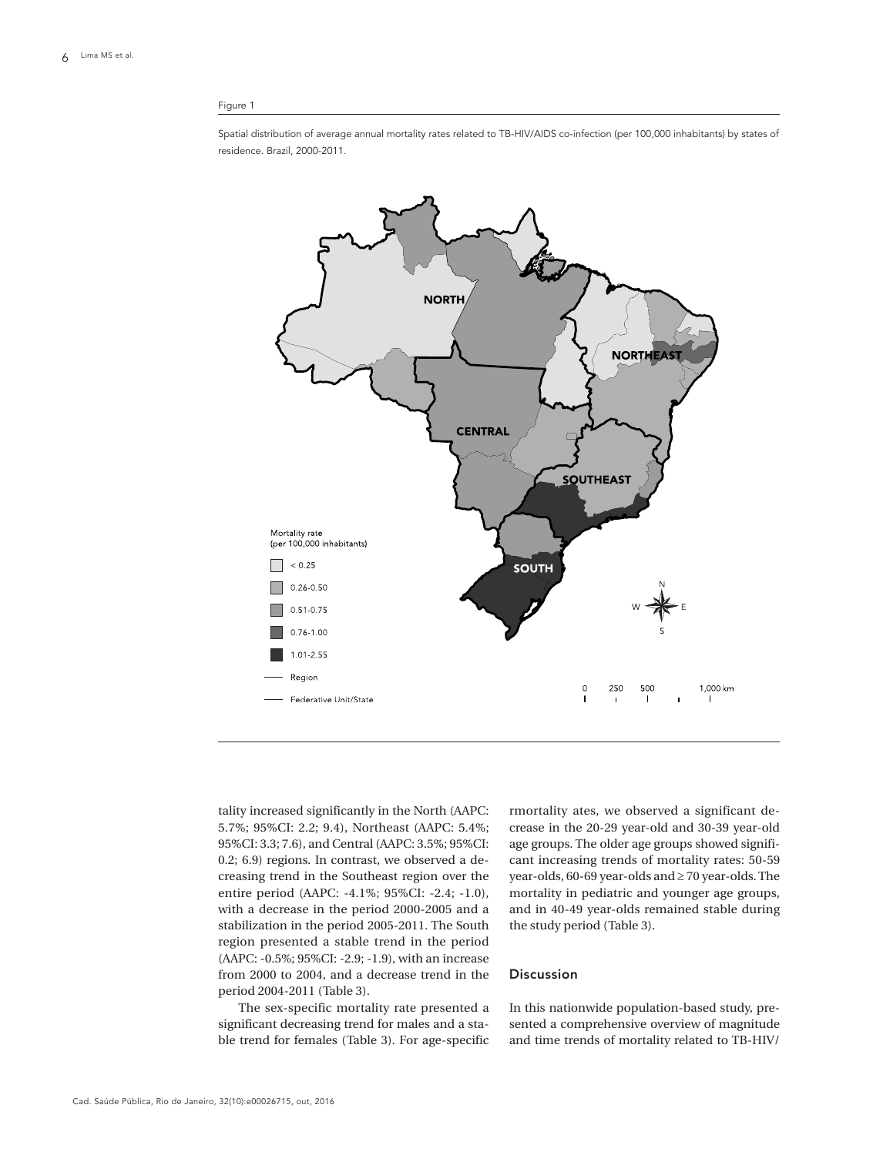#### Figure 1

Spatial distribution of average annual mortality rates related to TB-HIV/AIDS co-infection (per 100,000 inhabitants) by states of residence. Brazil, 2000-2011.



tality increased significantly in the North (AAPC: 5.7%; 95%CI: 2.2; 9.4), Northeast (AAPC: 5.4%; 95%CI: 3.3; 7.6), and Central (AAPC: 3.5%; 95%CI: 0.2; 6.9) regions. In contrast, we observed a decreasing trend in the Southeast region over the entire period (AAPC: -4.1%; 95%CI: -2.4; -1.0), with a decrease in the period 2000-2005 and a stabilization in the period 2005-2011. The South region presented a stable trend in the period (AAPC: -0.5%; 95%CI: -2.9; -1.9), with an increase from 2000 to 2004, and a decrease trend in the period 2004-2011 (Table 3).

The sex-specific mortality rate presented a significant decreasing trend for males and a stable trend for females (Table 3). For age-specific

rmortality ates, we observed a significant decrease in the 20-29 year-old and 30-39 year-old age groups. The older age groups showed significant increasing trends of mortality rates: 50-59 year-olds, 60-69 year-olds and ≥ 70 year-olds. The mortality in pediatric and younger age groups, and in 40-49 year-olds remained stable during the study period (Table 3).

## Discussion

In this nationwide population-based study, presented a comprehensive overview of magnitude and time trends of mortality related to TB-HIV/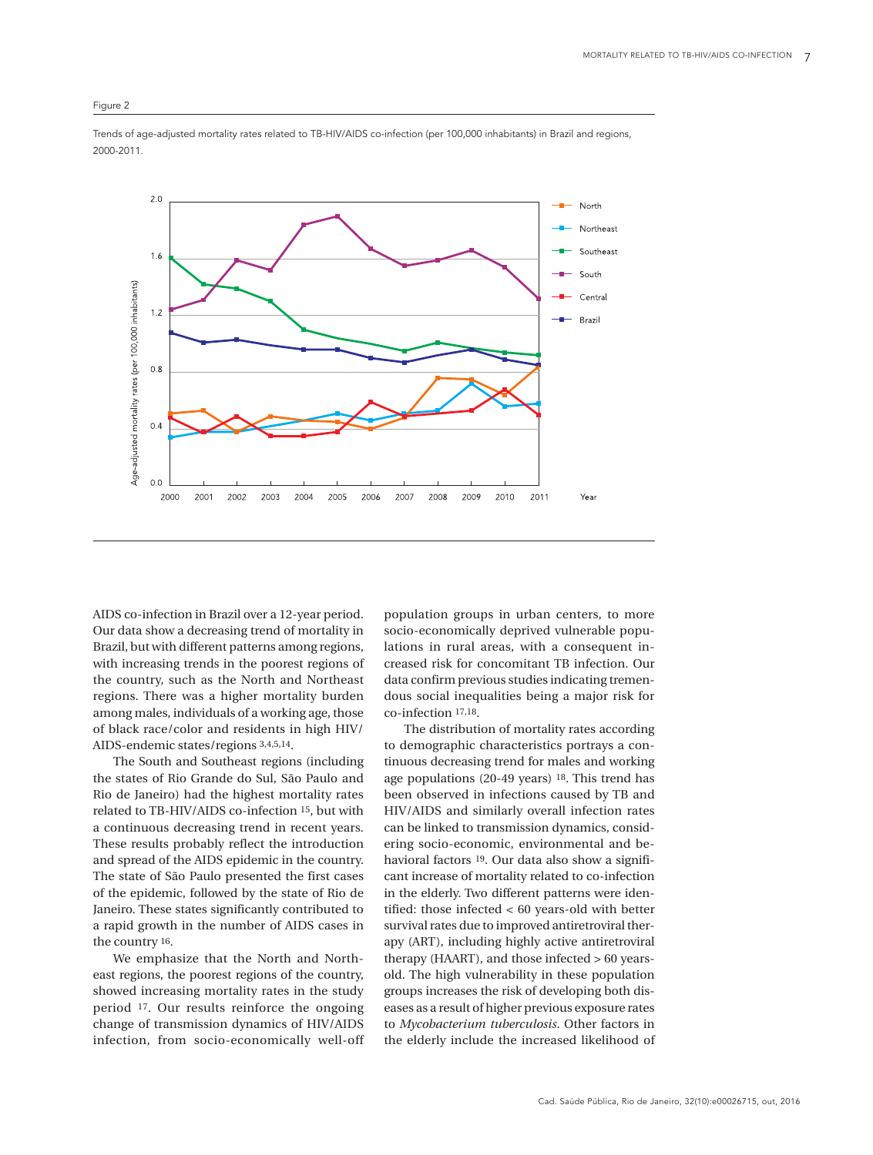### Figure 2



Trends of age-adjusted mortality rates related to TB-HIV/AIDS co-infection (per 100,000 inhabitants) in Brazil and regions, 2000-2011.

AIDS co-infection in Brazil over a 12-year period. Our data show a decreasing trend of mortality in Brazil, but with different patterns among regions, with increasing trends in the poorest regions of the country, such as the North and Northeast regions. There was a higher mortality burden among males, individuals of a working age, those of black race/color and residents in high HIV/ AIDS-endemic states/regions 3,4,5,14.

The South and Southeast regions (including the states of Rio Grande do Sul, São Paulo and Rio de Janeiro) had the highest mortality rates related to TB-HIV/AIDS co-infection 15, but with a continuous decreasing trend in recent years. These results probably reflect the introduction and spread of the AIDS epidemic in the country. The state of São Paulo presented the first cases of the epidemic, followed by the state of Rio de Janeiro. These states significantly contributed to a rapid growth in the number of AIDS cases in the country 16.

We emphasize that the North and Northeast regions, the poorest regions of the country, showed increasing mortality rates in the study period 17. Our results reinforce the ongoing change of transmission dynamics of HIV/AIDS infection, from socio-economically well-off

population groups in urban centers, to more socio-economically deprived vulnerable populations in rural areas, with a consequent increased risk for concomitant TB infection. Our data confirm previous studies indicating tremendous social inequalities being a major risk for co-infection 17,18.

The distribution of mortality rates according to demographic characteristics portrays a continuous decreasing trend for males and working age populations (20-49 years) 18. This trend has been observed in infections caused by TB and HIV/AIDS and similarly overall infection rates can be linked to transmission dynamics, considering socio-economic, environmental and behavioral factors 19. Our data also show a significant increase of mortality related to co-infection in the elderly. Two different patterns were identified: those infected < 60 years-old with better survival rates due to improved antiretroviral therapy (ART), including highly active antiretroviral therapy (HAART), and those infected > 60 yearsold. The high vulnerability in these population groups increases the risk of developing both diseases as a result of higher previous exposure rates to *Mycobacterium tuberculosis*. Other factors in the elderly include the increased likelihood of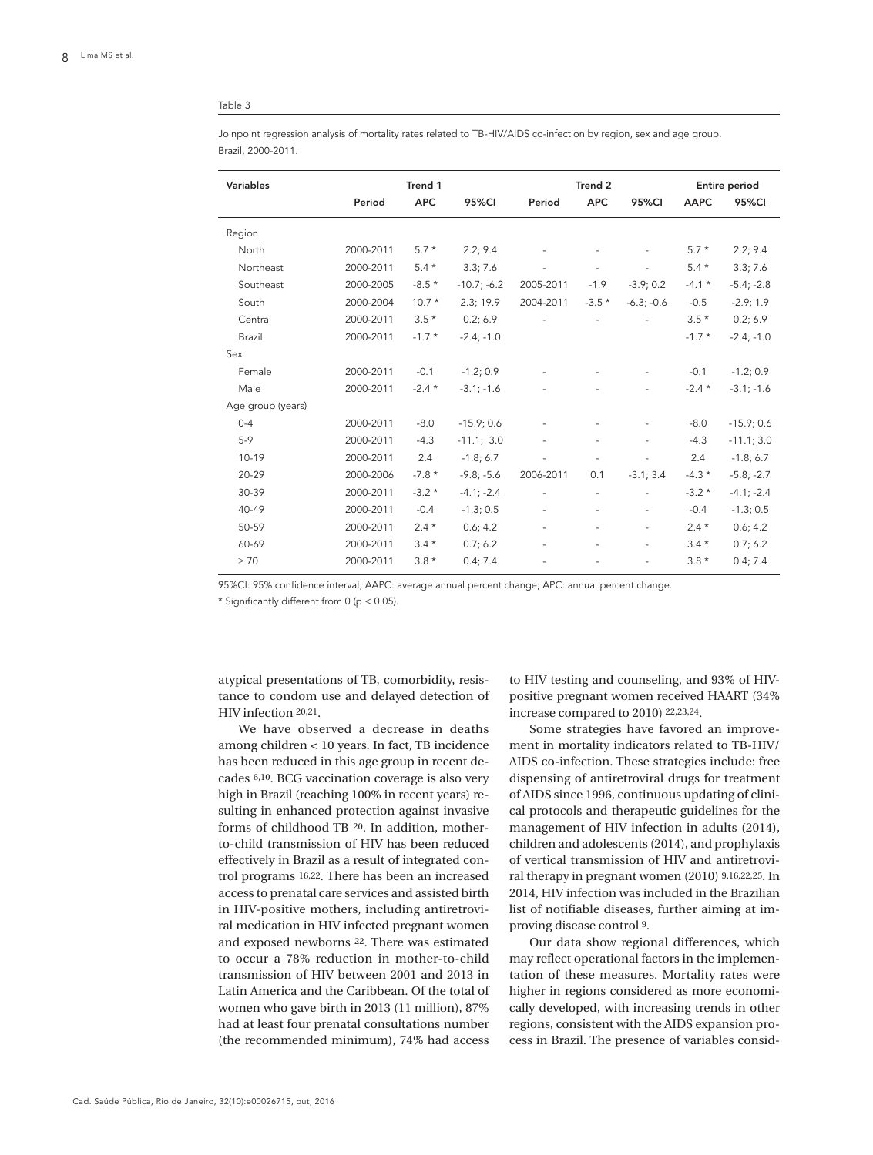#### Table 3

Joinpoint regression analysis of mortality rates related to TB-HIV/AIDS co-infection by region, sex and age group. Brazil, 2000-2011.

| Variables         | Trend 1   |            | Trend 2       |                          |                          | Entire period            |             |              |
|-------------------|-----------|------------|---------------|--------------------------|--------------------------|--------------------------|-------------|--------------|
|                   | Period    | <b>APC</b> | <b>95%CI</b>  | Period                   | <b>APC</b>               | 95%CI                    | <b>AAPC</b> | <b>95%CI</b> |
| Region            |           |            |               |                          |                          |                          |             |              |
| North             | 2000-2011 | $5.7*$     | 2.2; 9.4      |                          |                          |                          | $5.7*$      | 2.2; 9.4     |
| Northeast         | 2000-2011 | $5.4*$     | 3.3; 7.6      |                          | $\overline{\phantom{a}}$ | $\overline{\phantom{a}}$ | $5.4*$      | 3.3; 7.6     |
| Southeast         | 2000-2005 | $-8.5*$    | $-10.7; -6.2$ | 2005-2011                | $-1.9$                   | $-3.9;0.2$               | $-4.1*$     | $-5.4; -2.8$ |
| South             | 2000-2004 | $10.7*$    | 2.3; 19.9     | 2004-2011                | $-3.5*$                  | $-6.3; -0.6$             | $-0.5$      | $-2.9; 1.9$  |
| Central           | 2000-2011 | $3.5*$     | 0.2; 6.9      |                          |                          |                          | $3.5*$      | 0.2; 6.9     |
| Brazil            | 2000-2011 | $-1.7*$    | $-2.4; -1.0$  |                          |                          |                          | $-1.7*$     | $-2.4; -1.0$ |
| Sex               |           |            |               |                          |                          |                          |             |              |
| Female            | 2000-2011 | $-0.1$     | $-1.2; 0.9$   |                          |                          |                          | $-0.1$      | $-1.2; 0.9$  |
| Male              | 2000-2011 | $-2.4*$    | $-3.1; -1.6$  |                          |                          |                          | $-2.4*$     | $-3.1; -1.6$ |
| Age group (years) |           |            |               |                          |                          |                          |             |              |
| $0 - 4$           | 2000-2011 | $-8.0$     | $-15.9;0.6$   |                          |                          |                          | $-8.0$      | $-15.9;0.6$  |
| $5-9$             | 2000-2011 | $-4.3$     | $-11.1; 3.0$  | $\overline{\phantom{a}}$ | $\overline{\phantom{a}}$ | $\overline{\phantom{a}}$ | $-4.3$      | $-11.1; 3.0$ |
| $10 - 19$         | 2000-2011 | 2.4        | $-1.8; 6.7$   |                          |                          |                          | 2.4         | $-1.8; 6.7$  |
| 20-29             | 2000-2006 | $-7.8*$    | $-9.8; -5.6$  | 2006-2011                | 0.1                      | $-3.1; 3.4$              | $-4.3*$     | $-5.8; -2.7$ |
| 30-39             | 2000-2011 | $-3.2*$    | $-4.1; -2.4$  |                          |                          |                          | $-3.2*$     | $-4.1; -2.4$ |
| 40-49             | 2000-2011 | $-0.4$     | $-1.3; 0.5$   | $\overline{\phantom{a}}$ |                          |                          | $-0.4$      | $-1.3; 0.5$  |
| 50-59             | 2000-2011 | $2.4*$     | 0.6; 4.2      | $\overline{\phantom{a}}$ | $\overline{\phantom{a}}$ | $\overline{\phantom{a}}$ | $2.4*$      | 0.6; 4.2     |
| 60-69             | 2000-2011 | $3.4*$     | 0.7; 6.2      |                          |                          |                          | $3.4*$      | 0.7; 6.2     |
| $\geq 70$         | 2000-2011 | $3.8*$     | 0.4; 7.4      |                          |                          |                          | $3.8*$      | 0.4; 7.4     |

95%CI: 95% confidence interval; AAPC: average annual percent change; APC: annual percent change.

\* Significantly different from 0 (p < 0.05).

atypical presentations of TB, comorbidity, resistance to condom use and delayed detection of HIV infection 20,21.

We have observed a decrease in deaths among children < 10 years. In fact, TB incidence has been reduced in this age group in recent decades 6,10. BCG vaccination coverage is also very high in Brazil (reaching 100% in recent years) resulting in enhanced protection against invasive forms of childhood TB 20. In addition, motherto-child transmission of HIV has been reduced effectively in Brazil as a result of integrated control programs 16,22. There has been an increased access to prenatal care services and assisted birth in HIV-positive mothers, including antiretroviral medication in HIV infected pregnant women and exposed newborns 22. There was estimated to occur a 78% reduction in mother-to-child transmission of HIV between 2001 and 2013 in Latin America and the Caribbean. Of the total of women who gave birth in 2013 (11 million), 87% had at least four prenatal consultations number (the recommended minimum), 74% had access

to HIV testing and counseling, and 93% of HIVpositive pregnant women received HAART (34% increase compared to 2010) 22,23,24.

Some strategies have favored an improvement in mortality indicators related to TB-HIV/ AIDS co-infection. These strategies include: free dispensing of antiretroviral drugs for treatment of AIDS since 1996, continuous updating of clinical protocols and therapeutic guidelines for the management of HIV infection in adults (2014), children and adolescents (2014), and prophylaxis of vertical transmission of HIV and antiretroviral therapy in pregnant women (2010) 9,16,22,25. In 2014, HIV infection was included in the Brazilian list of notifiable diseases, further aiming at improving disease control 9.

Our data show regional differences, which may reflect operational factors in the implementation of these measures. Mortality rates were higher in regions considered as more economically developed, with increasing trends in other regions, consistent with the AIDS expansion process in Brazil. The presence of variables consid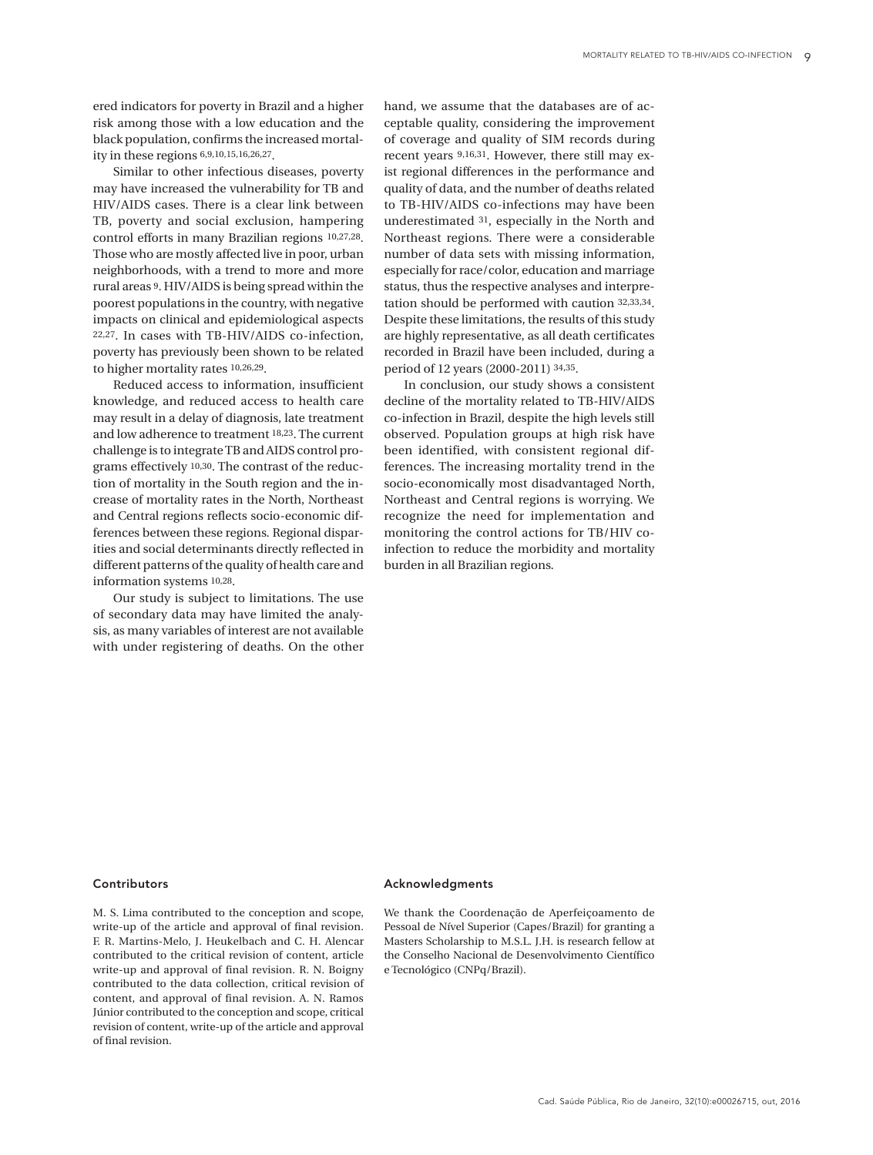ered indicators for poverty in Brazil and a higher risk among those with a low education and the black population, confirms the increased mortality in these regions 6,9,10,15,16,26,27.

Similar to other infectious diseases, poverty may have increased the vulnerability for TB and HIV/AIDS cases. There is a clear link between TB, poverty and social exclusion, hampering control efforts in many Brazilian regions 10,27,28. Those who are mostly affected live in poor, urban neighborhoods, with a trend to more and more rural areas 9. HIV/AIDS is being spread within the poorest populations in the country, with negative impacts on clinical and epidemiological aspects 22,27. In cases with TB-HIV/AIDS co-infection, poverty has previously been shown to be related to higher mortality rates 10,26,29.

Reduced access to information, insufficient knowledge, and reduced access to health care may result in a delay of diagnosis, late treatment and low adherence to treatment 18,23. The current challenge is to integrate TB and AIDS control programs effectively 10,30. The contrast of the reduction of mortality in the South region and the increase of mortality rates in the North, Northeast and Central regions reflects socio-economic differences between these regions. Regional disparities and social determinants directly reflected in different patterns of the quality of health care and information systems 10,28.

Our study is subject to limitations. The use of secondary data may have limited the analysis, as many variables of interest are not available with under registering of deaths. On the other

hand, we assume that the databases are of acceptable quality, considering the improvement of coverage and quality of SIM records during recent years 9,16,31. However, there still may exist regional differences in the performance and quality of data, and the number of deaths related to TB-HIV/AIDS co-infections may have been underestimated 31, especially in the North and Northeast regions. There were a considerable number of data sets with missing information, especially for race/color, education and marriage status, thus the respective analyses and interpretation should be performed with caution 32,33,34. Despite these limitations, the results of this study are highly representative, as all death certificates recorded in Brazil have been included, during a period of 12 years (2000-2011) 34,35.

In conclusion, our study shows a consistent decline of the mortality related to TB-HIV/AIDS co-infection in Brazil, despite the high levels still observed. Population groups at high risk have been identified, with consistent regional differences. The increasing mortality trend in the socio-economically most disadvantaged North, Northeast and Central regions is worrying. We recognize the need for implementation and monitoring the control actions for TB/HIV coinfection to reduce the morbidity and mortality burden in all Brazilian regions.

## Contributors

M. S. Lima contributed to the conception and scope, write-up of the article and approval of final revision. F. R. Martins-Melo, J. Heukelbach and C. H. Alencar contributed to the critical revision of content, article write-up and approval of final revision. R. N. Boigny contributed to the data collection, critical revision of content, and approval of final revision. A. N. Ramos Júnior contributed to the conception and scope, critical revision of content, write-up of the article and approval of final revision.

#### Acknowledgments

We thank the Coordenação de Aperfeiçoamento de Pessoal de Nível Superior (Capes/Brazil) for granting a Masters Scholarship to M.S.L. J.H. is research fellow at the Conselho Nacional de Desenvolvimento Científico e Tecnológico (CNPq/Brazil).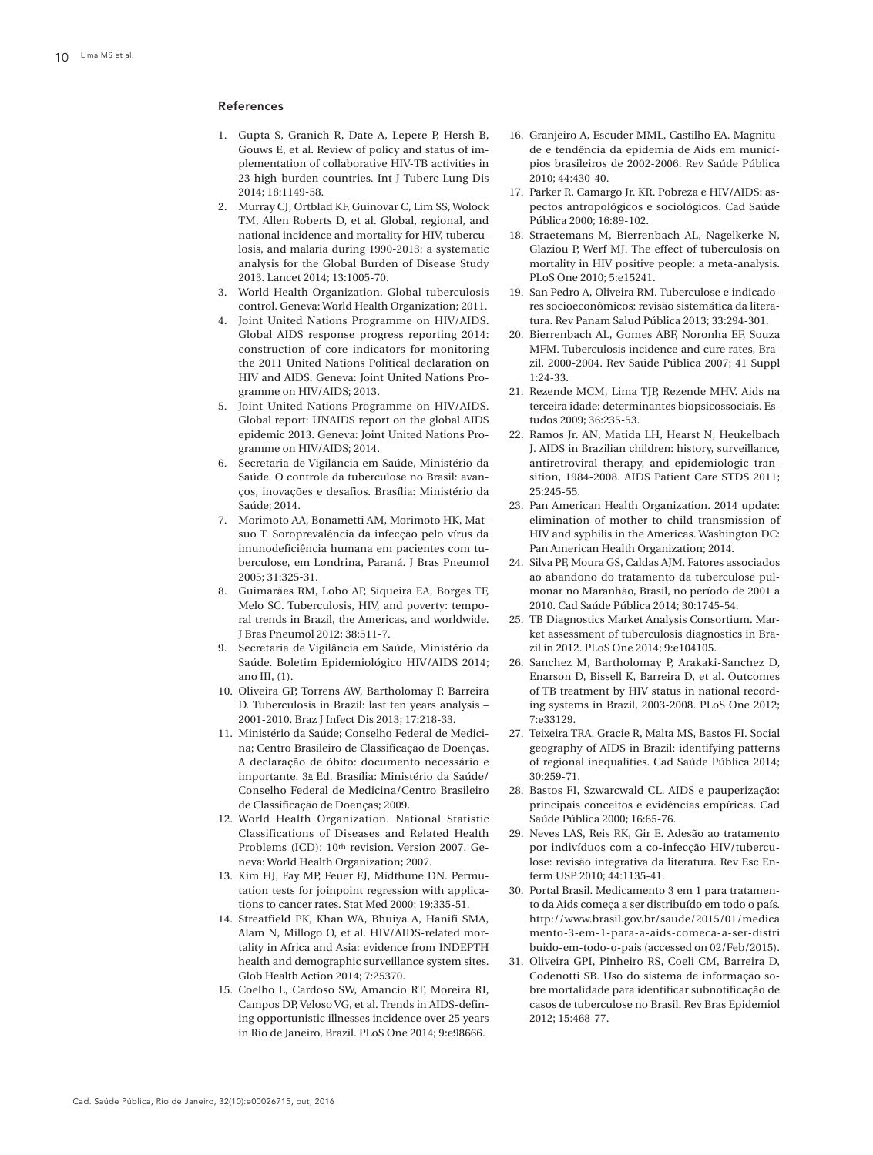#### References

- 1. Gupta S, Granich R, Date A, Lepere P, Hersh B, Gouws E, et al. Review of policy and status of implementation of collaborative HIV-TB activities in 23 high-burden countries. Int J Tuberc Lung Dis 2014; 18:1149-58.
- 2. Murray CJ, Ortblad KF, Guinovar C, Lim SS, Wolock TM, Allen Roberts D, et al. Global, regional, and national incidence and mortality for HIV, tuberculosis, and malaria during 1990-2013: a systematic analysis for the Global Burden of Disease Study 2013. Lancet 2014; 13:1005-70.
- 3. World Health Organization. Global tuberculosis control. Geneva: World Health Organization; 2011.
- 4. Joint United Nations Programme on HIV/AIDS. Global AIDS response progress reporting 2014: construction of core indicators for monitoring the 2011 United Nations Political declaration on HIV and AIDS. Geneva: Joint United Nations Programme on HIV/AIDS; 2013.
- 5. Joint United Nations Programme on HIV/AIDS. Global report: UNAIDS report on the global AIDS epidemic 2013. Geneva: Joint United Nations Programme on HIV/AIDS; 2014.
- 6. Secretaria de Vigilância em Saúde, Ministério da Saúde. O controle da tuberculose no Brasil: avanços, inovações e desafios. Brasília: Ministério da Saúde; 2014.
- 7. Morimoto AA, Bonametti AM, Morimoto HK, Matsuo T. Soroprevalência da infecção pelo vírus da imunodeficiência humana em pacientes com tuberculose, em Londrina, Paraná. J Bras Pneumol 2005; 31:325-31.
- 8. Guimarães RM, Lobo AP, Siqueira EA, Borges TF, Melo SC. Tuberculosis, HIV, and poverty: temporal trends in Brazil, the Americas, and worldwide. J Bras Pneumol 2012; 38:511-7.
- 9. Secretaria de Vigilância em Saúde, Ministério da Saúde. Boletim Epidemiológico HIV/AIDS 2014; ano III, (1).
- 10. Oliveira GP, Torrens AW, Bartholomay P, Barreira D. Tuberculosis in Brazil: last ten years analysis – 2001-2010. Braz J Infect Dis 2013; 17:218-33.
- 11. Ministério da Saúde; Conselho Federal de Medicina; Centro Brasileiro de Classificação de Doenças. A declaração de óbito: documento necessário e importante. 3a Ed. Brasília: Ministério da Saúde/ Conselho Federal de Medicina/Centro Brasileiro de Classificação de Doenças; 2009.
- 12. World Health Organization. National Statistic Classifications of Diseases and Related Health Problems (ICD): 10th revision. Version 2007. Geneva: World Health Organization; 2007.
- 13. Kim HJ, Fay MP, Feuer EJ, Midthune DN. Permutation tests for joinpoint regression with applications to cancer rates. Stat Med 2000; 19:335-51.
- 14. Streatfield PK, Khan WA, Bhuiya A, Hanifi SMA, Alam N, Millogo O, et al. HIV/AIDS-related mortality in Africa and Asia: evidence from INDEPTH health and demographic surveillance system sites. Glob Health Action 2014; 7:25370.
- 15. Coelho L, Cardoso SW, Amancio RT, Moreira RI, Campos DP, Veloso VG, et al. Trends in AIDS-defining opportunistic illnesses incidence over 25 years in Rio de Janeiro, Brazil. PLoS One 2014; 9:e98666.
- 16. Granjeiro A, Escuder MML, Castilho EA. Magnitude e tendência da epidemia de Aids em municípios brasileiros de 2002-2006. Rev Saúde Pública 2010; 44:430-40.
- 17. Parker R, Camargo Jr. KR. Pobreza e HIV/AIDS: aspectos antropológicos e sociológicos. Cad Saúde Pública 2000; 16:89-102.
- 18. Straetemans M, Bierrenbach AL, Nagelkerke N, Glaziou P, Werf MJ. The effect of tuberculosis on mortality in HIV positive people: a meta-analysis. PLoS One 2010; 5:e15241.
- 19. San Pedro A, Oliveira RM. Tuberculose e indicadores socioeconômicos: revisão sistemática da literatura. Rev Panam Salud Pública 2013; 33:294-301.
- 20. Bierrenbach AL, Gomes ABF, Noronha EF, Souza MFM. Tuberculosis incidence and cure rates, Brazil, 2000-2004. Rev Saúde Pública 2007; 41 Suppl 1:24-33.
- 21. Rezende MCM, Lima TJP, Rezende MHV. Aids na terceira idade: determinantes biopsicossociais. Estudos 2009; 36:235-53.
- 22. Ramos Jr. AN, Matida LH, Hearst N, Heukelbach J. AIDS in Brazilian children: history, surveillance, antiretroviral therapy, and epidemiologic transition, 1984-2008. AIDS Patient Care STDS 2011; 25:245-55.
- 23. Pan American Health Organization. 2014 update: elimination of mother-to-child transmission of HIV and syphilis in the Americas. Washington DC: Pan American Health Organization; 2014.
- 24. Silva PF, Moura GS, Caldas AJM. Fatores associados ao abandono do tratamento da tuberculose pulmonar no Maranhão, Brasil, no período de 2001 a 2010. Cad Saúde Pública 2014; 30:1745-54.
- 25. TB Diagnostics Market Analysis Consortium. Market assessment of tuberculosis diagnostics in Brazil in 2012. PLoS One 2014; 9:e104105.
- 26. Sanchez M, Bartholomay P, Arakaki-Sanchez D, Enarson D, Bissell K, Barreira D, et al. Outcomes of TB treatment by HIV status in national recording systems in Brazil, 2003-2008. PLoS One 2012; 7:e33129.
- 27. Teixeira TRA, Gracie R, Malta MS, Bastos FI. Social geography of AIDS in Brazil: identifying patterns of regional inequalities. Cad Saúde Pública 2014; 30:259-71.
- 28. Bastos FI, Szwarcwald CL. AIDS e pauperização: principais conceitos e evidências empíricas. Cad Saúde Pública 2000; 16:65-76.
- 29. Neves LAS, Reis RK, Gir E. Adesão ao tratamento por indivíduos com a co-infecção HIV/tuberculose: revisão integrativa da literatura. Rev Esc Enferm USP 2010; 44:1135-41.
- 30. Portal Brasil. Medicamento 3 em 1 para tratamento da Aids começa a ser distribuído em todo o país. http://www.brasil.gov.br/saude/2015/01/medica mento-3-em-1-para-a-aids-comeca-a-ser-distri buido-em-todo-o-pais (accessed on 02/Feb/2015).
- 31. Oliveira GPI, Pinheiro RS, Coeli CM, Barreira D, Codenotti SB. Uso do sistema de informação sobre mortalidade para identificar subnotificação de casos de tuberculose no Brasil. Rev Bras Epidemiol 2012; 15:468-77.